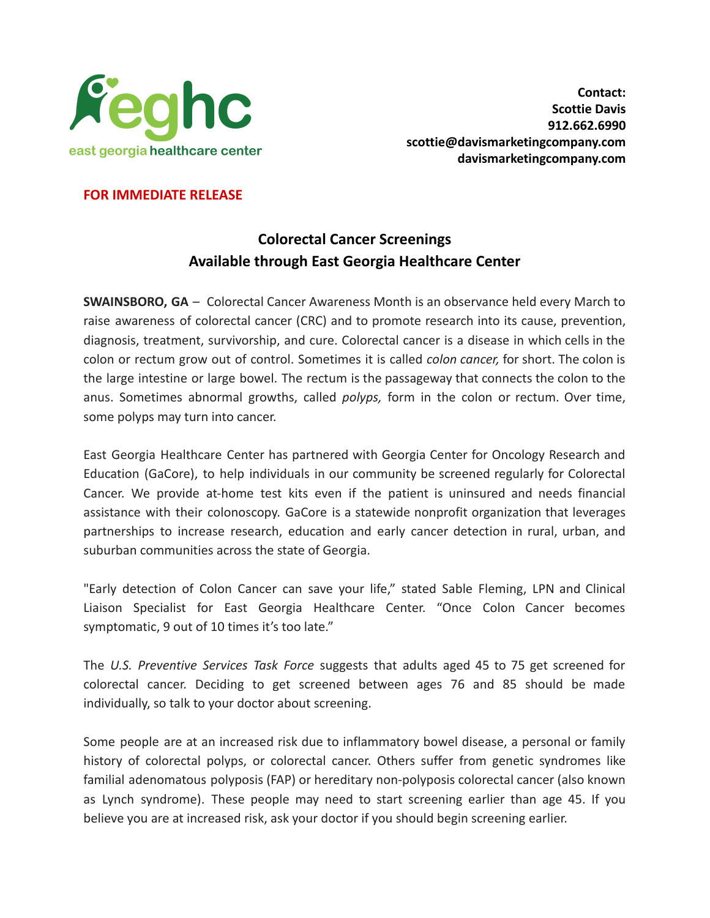

## **FOR IMMEDIATE RELEASE**

## **Colorectal Cancer Screenings Available through East Georgia Healthcare Center**

**SWAINSBORO, GA** – Colorectal Cancer Awareness Month is an observance held every March to raise awareness of colorectal cancer (CRC) and to promote research into its cause, prevention, diagnosis, treatment, survivorship, and cure. Colorectal cancer is a disease in which cells in the colon or rectum grow out of control. Sometimes it is called *colon cancer,* for short. The colon is the large intestine or large bowel. The rectum is the passageway that connects the colon to the anus. Sometimes abnormal growths, called *polyps,* form in the colon or rectum. Over time, some polyps may turn into cancer.

East Georgia Healthcare Center has partnered with Georgia Center for Oncology Research and Education (GaCore), to help individuals in our community be screened regularly for Colorectal Cancer. We provide at-home test kits even if the patient is uninsured and needs financial assistance with their colonoscopy. GaCore is a statewide nonprofit organization that leverages partnerships to increase research, education and early cancer detection in rural, urban, and suburban communities across the state of Georgia.

"Early detection of Colon Cancer can save your life," stated Sable Fleming, LPN and Clinical Liaison Specialist for East Georgia Healthcare Center. "Once Colon Cancer becomes symptomatic, 9 out of 10 times it's too late."

The *U.S. Preventive Services Task Force* suggests that adults aged 45 to 75 get screened for colorectal cancer. Deciding to get screened between ages 76 and 85 should be made individually, so talk to your doctor about screening.

Some people are at an increased risk due to inflammatory bowel disease, a personal or family history of colorectal polyps, or colorectal cancer. Others suffer from genetic syndromes like familial adenomatous polyposis (FAP) or hereditary non-polyposis colorectal cancer (also known as Lynch syndrome). These people may need to start screening earlier than age 45. If you believe you are at increased risk, ask your doctor if you should begin screening earlier.